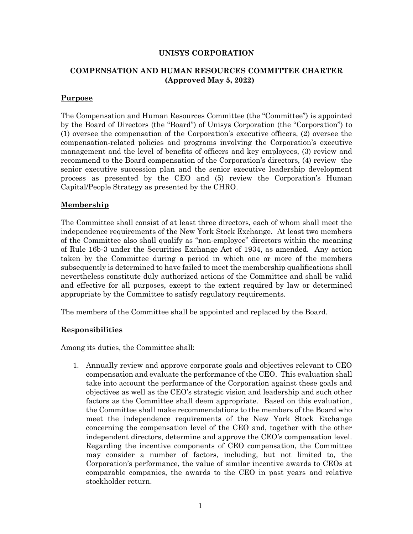### **UNISYS CORPORATION**

# **COMPENSATION AND HUMAN RESOURCES COMMITTEE CHARTER (Approved May 5, 2022)**

### **Purpose**

The Compensation and Human Resources Committee (the "Committee") is appointed by the Board of Directors (the "Board") of Unisys Corporation (the "Corporation") to (1) oversee the compensation of the Corporation's executive officers, (2) oversee the compensation-related policies and programs involving the Corporation's executive management and the level of benefits of officers and key employees, (3) review and recommend to the Board compensation of the Corporation's directors, (4) review the senior executive succession plan and the senior executive leadership development process as presented by the CEO and (5) review the Corporation's Human Capital/People Strategy as presented by the CHRO.

### **Membership**

The Committee shall consist of at least three directors, each of whom shall meet the independence requirements of the New York Stock Exchange. At least two members of the Committee also shall qualify as "non-employee" directors within the meaning of Rule 16b-3 under the Securities Exchange Act of 1934, as amended. Any action taken by the Committee during a period in which one or more of the members subsequently is determined to have failed to meet the membership qualifications shall nevertheless constitute duly authorized actions of the Committee and shall be valid and effective for all purposes, except to the extent required by law or determined appropriate by the Committee to satisfy regulatory requirements.

The members of the Committee shall be appointed and replaced by the Board*.*

#### **Responsibilities**

Among its duties, the Committee shall:

1. Annually review and approve corporate goals and objectives relevant to CEO compensation and evaluate the performance of the CEO. This evaluation shall take into account the performance of the Corporation against these goals and objectives as well as the CEO's strategic vision and leadership and such other factors as the Committee shall deem appropriate. Based on this evaluation, the Committee shall make recommendations to the members of the Board who meet the independence requirements of the New York Stock Exchange concerning the compensation level of the CEO and, together with the other independent directors, determine and approve the CEO's compensation level. Regarding the incentive components of CEO compensation, the Committee may consider a number of factors, including, but not limited to, the Corporation's performance, the value of similar incentive awards to CEOs at comparable companies, the awards to the CEO in past years and relative stockholder return.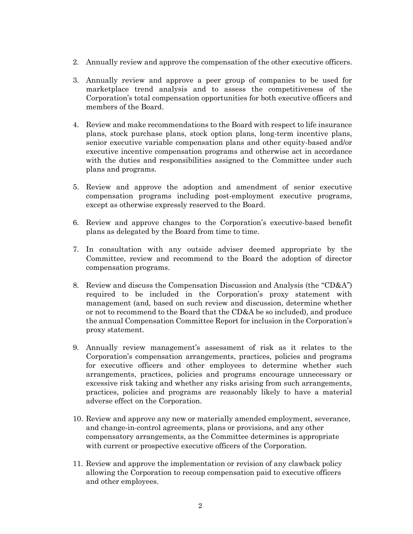- 2. Annually review and approve the compensation of the other executive officers.
- 3. Annually review and approve a peer group of companies to be used for marketplace trend analysis and to assess the competitiveness of the Corporation's total compensation opportunities for both executive officers and members of the Board.
- 4. Review and make recommendations to the Board with respect to life insurance plans, stock purchase plans, stock option plans, long-term incentive plans, senior executive variable compensation plans and other equity-based and/or executive incentive compensation programs and otherwise act in accordance with the duties and responsibilities assigned to the Committee under such plans and programs.
- 5. Review and approve the adoption and amendment of senior executive compensation programs including post-employment executive programs, except as otherwise expressly reserved to the Board.
- 6. Review and approve changes to the Corporation's executive-based benefit plans as delegated by the Board from time to time.
- 7. In consultation with any outside adviser deemed appropriate by the Committee, review and recommend to the Board the adoption of director compensation programs.
- 8. Review and discuss the Compensation Discussion and Analysis (the "CD&A") required to be included in the Corporation's proxy statement with management (and, based on such review and discussion, determine whether or not to recommend to the Board that the CD&A be so included), and produce the annual Compensation Committee Report for inclusion in the Corporation's proxy statement.
- 9. Annually review management's assessment of risk as it relates to the Corporation's compensation arrangements, practices, policies and programs for executive officers and other employees to determine whether such arrangements, practices, policies and programs encourage unnecessary or excessive risk taking and whether any risks arising from such arrangements, practices, policies and programs are reasonably likely to have a material adverse effect on the Corporation.
- 10. Review and approve any new or materially amended employment, severance, and change-in-control agreements, plans or provisions, and any other compensatory arrangements, as the Committee determines is appropriate with current or prospective executive officers of the Corporation.
- 11. Review and approve the implementation or revision of any clawback policy allowing the Corporation to recoup compensation paid to executive officers and other employees.